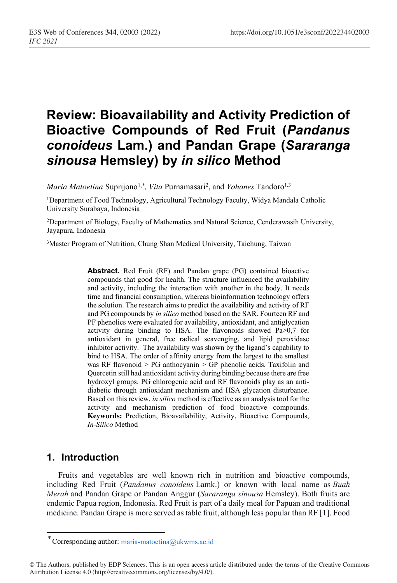# **Review: Bioavailability and Activity Prediction of Bioactive Compounds of Red Fruit (***Pandanus conoideus* **Lam.) and Pandan Grape (***Sararanga sinousa* **Hemsley) by** *in silico* **Method**

*Maria Matoetina* Suprijono<sup>1,\*</sup>, *Vita* Purnamasari<sup>2</sup>, and *Yohanes* Tandoro<sup>1,3</sup>

<sup>1</sup>Department of Food Technology, Agricultural Technology Faculty, Widya Mandala Catholic University Surabaya, Indonesia

2Department of Biology, Faculty of Mathematics and Natural Science, Cenderawasih University, Jayapura, Indonesia

3Master Program of Nutrition, Chung Shan Medical University, Taichung, Taiwan

**Abstract.** Red Fruit (RF) and Pandan grape (PG) contained bioactive compounds that good for health. The structure influenced the availability and activity, including the interaction with another in the body. It needs time and financial consumption, whereas bioinformation technology offers the solution. The research aims to predict the availability and activity of RF and PG compounds by *in silico* method based on the SAR. Fourteen RF and PF phenolics were evaluated for availability, antioxidant, and antiglycation activity during binding to HSA. The flavonoids showed Pa>0,7 for antioxidant in general, free radical scavenging, and lipid peroxidase inhibitor activity. The availability was shown by the ligand's capability to bind to HSA. The order of affinity energy from the largest to the smallest was RF flavonoid > PG anthocyanin > GP phenolic acids. Taxifolin and Quercetin still had antioxidant activity during binding because there are free hydroxyl groups. PG chlorogenic acid and RF flavonoids play as an antidiabetic through antioxidant mechanism and HSA glycation disturbance. Based on this review, *in silico* method is effective as an analysis tool for the activity and mechanism prediction of food bioactive compounds. **Keywords:** Prediction, Bioavailability, Activity, Bioactive Compounds, *In-Silico* Method

#### **1. Introduction**

Fruits and vegetables are well known rich in nutrition and bioactive compounds, including Red Fruit (*Pandanus conoideus* Lamk.) or known with local name as *Buah Merah* and Pandan Grape or Pandan Anggur (*Sararanga sinousa* Hemsley). Both fruits are endemic Papua region, Indonesia. Red Fruit is part of a daily meal for Papuan and traditional medicine. Pandan Grape is more served as table fruit, although less popular than RF [1]. Food

<sup>\*</sup> Corresponding author: maria-matoetina@ukwms.ac.id

<sup>©</sup> The Authors, published by EDP Sciences. This is an open access article distributed under the terms of the Creative Commons Attribution License 4.0 (http://creativecommons.org/licenses/by/4.0/).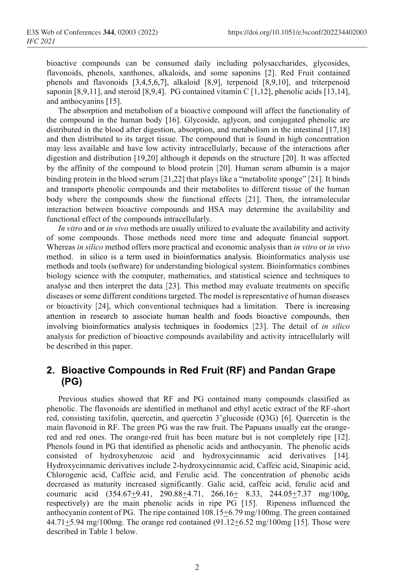bioactive compounds can be consumed daily including polysaccharides, glycosides, flavonoids, phenols, xanthones, alkaloids, and some saponins [2]. Red Fruit contained phenols and flavonoids [3,4,5,6,7], alkaloid [8,9], terpenoid [8,9,10], and triterpenoid saponin [8,9,11], and steroid [8,9,4]. PG contained vitamin C [1,12], phenolic acids [13,14], and anthocyanins [15].

The absorption and metabolism of a bioactive compound will affect the functionality of the compound in the human body [16]. Glycoside, aglycon, and conjugated phenolic are distributed in the blood after digestion, absorption, and metabolism in the intestinal [17,18] and then distributed to its target tissue. The compound that is found in high concentration may less available and have low activity intracellularly, because of the interactions after digestion and distribution [19,20] although it depends on the structure [20]. It was affected by the affinity of the compound to blood protein [20]. Human serum albumin is a major binding protein in the blood serum [21,22] that plays like a "metabolite sponge" [21]. It binds and transports phenolic compounds and their metabolites to different tissue of the human body where the compounds show the functional effects [21]. Then, the intramolecular interaction between bioactive compounds and HSA may determine the availability and functional effect of the compounds intracellularly.

*In vitro* and or *in vivo* methods are usually utilized to evaluate the availability and activity of some compounds. Those methods need more time and adequate financial support. Whereas *in silico* method offers more practical and economic analysis than *in vitro* or *in vivo* method. in silico is a term used in bioinformatics analysis. Bioinformatics analysis use methods and tools (software) for understanding biological system. Bioinformatics combines biology science with the computer, mathematics, and statistical science and techniques to analyse and then interpret the data [23]. This method may evaluate treatments on specific diseases or some different conditions targeted. The model is representative of human diseases or bioactivity [24], which conventional techniques had a limitation. There is increasing attention in research to associate human health and foods bioactive compounds, then involving bioinformatics analysis techniques in foodomics [23]. The detail of *in silico* analysis for prediction of bioactive compounds availability and activity intracellularly will be described in this paper.

### **2. Bioactive Compounds in Red Fruit (RF) and Pandan Grape (PG)**

Previous studies showed that RF and PG contained many compounds classified as phenolic. The flavonoids are identified in methanol and ethyl acetic extract of the RF-short red, consisting taxifolin, quercetin, and quercetin 3'glucoside (Q3G) [6]. Quercetin is the main flavonoid in RF. The green PG was the raw fruit. The Papuans usually eat the orangered and red ones. The orange-red fruit has been mature but is not completely ripe [12]. Phenols found in PG that identified as phenolic acids and anthocyanin. The phenolic acids consisted of hydroxybenzoic acid and hydroxycinnamic acid derivatives [14]. Hydroxycinnamic derivatives include 2-hydroxycinnamic acid, Caffeic acid, Sinapinic acid, Chlorogenic acid, Caffeic acid, and Ferulic acid. The concentration of phenolic acids decreased as maturity increased significantly. Galic acid, caffeic acid, ferulic acid and coumaric acid  $(354.67+9.41, 290.88+4.71, 266.16+ 8.33, 244.05+7.37$  mg/100g, respectively) are the main phenolic acids in ripe PG [15]. Ripeness influenced the anthocyanin content of PG. The ripe contained  $108.15 \pm 6.79$  mg/100mg. The green contained  $44.71+5.94$  mg/100mg. The orange red contained  $(91.12+6.52$  mg/100mg [15]. Those were described in Table 1 below.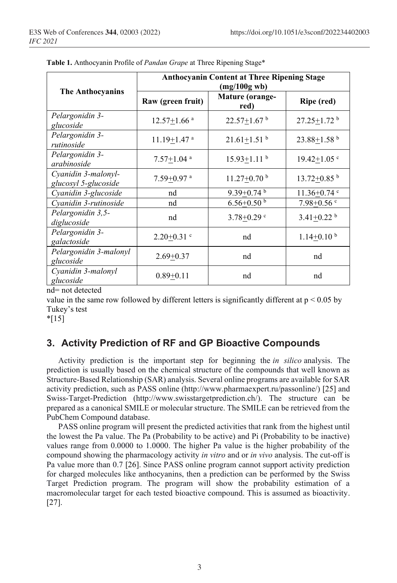|                                             | <b>Anthocyanin Content at Three Ripening Stage</b><br>(mg/100g wb) |                               |                               |  |  |
|---------------------------------------------|--------------------------------------------------------------------|-------------------------------|-------------------------------|--|--|
| The Anthocyanins                            | Raw (green fruit)                                                  | Mature (orange-<br>red)       | Ripe (red)                    |  |  |
| Pelargonidin 3-<br>glucoside                | $12.57 \pm 1.66$ <sup>a</sup>                                      | $22.57 \pm 1.67$ <sup>b</sup> | $27.25 \pm 1.72$ <sup>b</sup> |  |  |
| Pelargonidin 3-<br>rutinoside               | $11.19 + 1.47$ <sup>a</sup>                                        | $21.61 + 1.51$ <sup>b</sup>   | $23.88 + 1.58$ <sup>b</sup>   |  |  |
| Pelargonidin 3-<br>arabinoside              | $7.57 \pm 1.04$ <sup>a</sup>                                       | $15.93 \pm 1.11$ b            | $19.42 \pm 1.05$ c            |  |  |
| Cyanidin 3-malonyl-<br>glucosyl 5-glucoside | $7.59 + 0.97$ <sup>a</sup>                                         | $11.27 + 0.70$ <sup>b</sup>   | $13.72 + 0.85$ <sup>b</sup>   |  |  |
| Cyanidin 3-glucoside                        | nd                                                                 | $9.39 + 0.74$ <sup>b</sup>    | $11.36 + 0.74$ <sup>c</sup>   |  |  |
| Cyanidin 3-rutinoside                       | nd                                                                 | $6.56 \pm 0.50$ b             | $7.98 \pm 0.56$ c             |  |  |
| Pelargonidin 3,5-<br>diglucoside            | nd                                                                 | $3.78 + 0.29$ <sup>c</sup>    | $3.41 + 0.22$ <sup>b</sup>    |  |  |
| Pelargonidin 3-<br>galactoside              | $2.20 + 0.31$ <sup>c</sup>                                         | nd                            | $1.14 + 0.10^{b}$             |  |  |
| Pelargonidin 3-malonyl<br>glucoside         | $2.69 + 0.37$                                                      | nd                            | nd                            |  |  |
| Cyanidin 3-malonyl<br>glucoside             | $0.89 + 0.11$                                                      | nd                            | nd                            |  |  |

**Table 1.** Anthocyanin Profile of *Pandan Grape* at Three Ripening Stage\*

nd= not detected

value in the same row followed by different letters is significantly different at  $p < 0.05$  by Tukey's test

 $*$ [15]

## **3. Activity Prediction of RF and GP Bioactive Compounds**

Activity prediction is the important step for beginning the *in silico* analysis. The prediction is usually based on the chemical structure of the compounds that well known as Structure-Based Relationship (SAR) analysis. Several online programs are available for SAR activity prediction, such as PASS online (http://www.pharmaexpert.ru/passonline/) [25] and Swiss-Target-Prediction (http://www.swisstargetprediction.ch/). The structure can be prepared as a canonical SMILE or molecular structure. The SMILE can be retrieved from the PubChem Compound database.

PASS online program will present the predicted activities that rank from the highest until the lowest the Pa value. The Pa (Probability to be active) and Pi (Probability to be inactive) values range from 0.0000 to 1.0000. The higher Pa value is the higher probability of the compound showing the pharmacology activity *in vitro* and or *in vivo* analysis. The cut-off is Pa value more than 0.7 [26]. Since PASS online program cannot support activity prediction for charged molecules like anthocyanins, then a prediction can be performed by the Swiss Target Prediction program. The program will show the probability estimation of a macromolecular target for each tested bioactive compound. This is assumed as bioactivity. [27].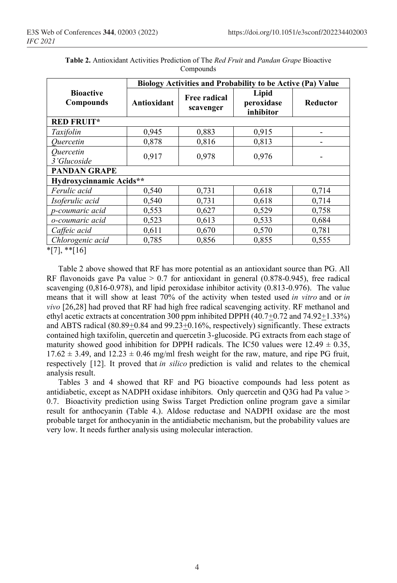|                                      | Biology Activities and Probability to be Active (Pa) Value |                                         |       |          |  |  |
|--------------------------------------|------------------------------------------------------------|-----------------------------------------|-------|----------|--|--|
| <b>Bioactive</b><br><b>Compounds</b> | Antioxidant                                                | Free radical<br>peroxidase<br>scavenger |       | Reductor |  |  |
| <b>RED FRUIT*</b>                    |                                                            |                                         |       |          |  |  |
| Taxifolin                            | 0,945                                                      | 0,883                                   | 0,915 |          |  |  |
| Quercetin                            | 0,878                                                      | 0,816                                   | 0,813 |          |  |  |
| Quercetin<br>3'Glucoside             | 0,917                                                      | 0,978                                   | 0,976 |          |  |  |
| <b>PANDAN GRAPE</b>                  |                                                            |                                         |       |          |  |  |
| Hydroxycinnamic Acids**              |                                                            |                                         |       |          |  |  |
| Ferulic acid                         | 0,540                                                      | 0,731                                   | 0,618 | 0,714    |  |  |
| Isoferulic acid                      | 0,540                                                      | 0,731                                   | 0,618 | 0,714    |  |  |
| p-coumaric acid                      | 0,553                                                      | 0,627                                   | 0,529 | 0,758    |  |  |
| o-coumaric acid                      | 0,523                                                      | 0,613                                   | 0,533 | 0,684    |  |  |
| Caffeic acid                         | 0,611                                                      | 0,670                                   | 0,570 | 0,781    |  |  |
| Chlorogenic acid                     | 0,785                                                      | 0,856                                   | 0,855 | 0,555    |  |  |

**Table 2.** Antioxidant Activities Prediction of The *Red Fruit* and *Pandan Grape* Bioactive Compounds

\*[7], \*\*[16]

Table 2 above showed that RF has more potential as an antioxidant source than PG. All RF flavonoids gave Pa value  $> 0.7$  for antioxidant in general (0.878-0.945), free radical scavenging (0,816-0.978), and lipid peroxidase inhibitor activity (0.813-0.976). The value means that it will show at least 70% of the activity when tested used *in vitro* and or *in vivo* [26,28] had proved that RF had high free radical scavenging activity. RF methanol and ethyl acetic extracts at concentration 300 ppm inhibited DPPH (40.7+0.72 and 74.92+1.33%) and ABTS radical  $(80.89+0.84 \text{ and } 99.23+0.16\%$ , respectively) significantly. These extracts contained high taxifolin, quercetin and quercetin 3-glucoside. PG extracts from each stage of maturity showed good inhibition for DPPH radicals. The IC50 values were  $12.49 \pm 0.35$ ,  $17.62 \pm 3.49$ , and  $12.23 \pm 0.46$  mg/ml fresh weight for the raw, mature, and ripe PG fruit, respectively [12]. It proved that *in silico* prediction is valid and relates to the chemical analysis result.

Tables 3 and 4 showed that RF and PG bioactive compounds had less potent as antidiabetic, except as NADPH oxidase inhibitors. Only quercetin and Q3G had Pa value > 0.7. Bioactivity prediction using Swiss Target Prediction online program gave a similar result for anthocyanin (Table 4.). Aldose reductase and NADPH oxidase are the most probable target for anthocyanin in the antidiabetic mechanism, but the probability values are very low. It needs further analysis using molecular interaction.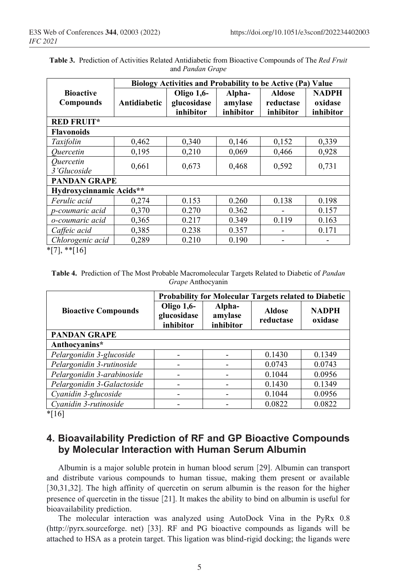|                                      | Biology Activities and Probability to be Active (Pa) Value |                                        |                                |                                         |                                      |
|--------------------------------------|------------------------------------------------------------|----------------------------------------|--------------------------------|-----------------------------------------|--------------------------------------|
| <b>Bioactive</b><br><b>Compounds</b> | Antidiabetic                                               | Oligo 1,6-<br>glucosidase<br>inhibitor | Alpha-<br>amylase<br>inhibitor | <b>Aldose</b><br>reductase<br>inhibitor | <b>NADPH</b><br>oxidase<br>inhibitor |
| <b>RED FRUIT*</b>                    |                                                            |                                        |                                |                                         |                                      |
| <b>Flavonoids</b>                    |                                                            |                                        |                                |                                         |                                      |
| Taxifolin                            | 0,462                                                      | 0,340                                  | 0,146                          | 0,152                                   | 0,339                                |
| Quercetin                            | 0,195                                                      | 0,210                                  | 0,069                          | 0,466                                   | 0,928                                |
| Quercetin<br>3'Glucoside             | 0,661                                                      | 0,673                                  | 0,468                          | 0,592                                   | 0,731                                |
| <b>PANDAN GRAPE</b>                  |                                                            |                                        |                                |                                         |                                      |
| Hydroxycinnamic Acids**              |                                                            |                                        |                                |                                         |                                      |
| Ferulic acid                         | 0,274                                                      | 0.153                                  | 0.260                          | 0.138                                   | 0.198                                |
| p-coumaric acid                      | 0,370                                                      | 0.270                                  | 0.362                          |                                         | 0.157                                |
| o-coumaric acid                      | 0,365                                                      | 0.217                                  | 0.349                          | 0.119                                   | 0.163                                |
| Caffeic acid                         | 0,385                                                      | 0.238                                  | 0.357                          |                                         | 0.171                                |
| Chlorogenic acid                     | 0,289                                                      | 0.210                                  | 0.190                          |                                         |                                      |

**Table 3.** Prediction of Activities Related Antidiabetic from Bioactive Compounds of The *Red Fruit* and *Pandan Grape*

\*[7], \*\*[16]

**Table 4.** Prediction of The Most Probable Macromolecular Targets Related to Diabetic of *Pandan Grape* Anthocyanin

|                            | <b>Probability for Molecular Targets related to Diabetic</b> |                                |                            |                         |  |
|----------------------------|--------------------------------------------------------------|--------------------------------|----------------------------|-------------------------|--|
| <b>Bioactive Compounds</b> | Oligo 1,6-<br>glucosidase<br>inhibitor                       | Alpha-<br>amylase<br>inhibitor | <b>Aldose</b><br>reductase | <b>NADPH</b><br>oxidase |  |
| <b>PANDAN GRAPE</b>        |                                                              |                                |                            |                         |  |
| Anthocyanins*              |                                                              |                                |                            |                         |  |
| Pelargonidin 3-glucoside   |                                                              |                                | 0.1430                     | 0.1349                  |  |
| Pelargonidin 3-rutinoside  |                                                              |                                | 0.0743                     | 0.0743                  |  |
| Pelargonidin 3-arabinoside |                                                              |                                | 0.1044                     | 0.0956                  |  |
| Pelargonidin 3-Galactoside |                                                              |                                | 0.1430                     | 0.1349                  |  |
| Cyanidin 3-glucoside       |                                                              |                                | 0.1044                     | 0.0956                  |  |
| Cyanidin 3-rutinoside      |                                                              |                                | 0.0822                     | 0.0822                  |  |

 $*$ [16]

### **4. Bioavailability Prediction of RF and GP Bioactive Compounds by Molecular Interaction with Human Serum Albumin**

Albumin is a major soluble protein in human blood serum [29]. Albumin can transport and distribute various compounds to human tissue, making them present or available [30,31,32]. The high affinity of quercetin on serum albumin is the reason for the higher presence of quercetin in the tissue [21]. It makes the ability to bind on albumin is useful for bioavailability prediction.

The molecular interaction was analyzed using AutoDock Vina in the PyRx 0.8 (http://pyrx.sourceforge. net) [33]. RF and PG bioactive compounds as ligands will be attached to HSA as a protein target. This ligation was blind-rigid docking; the ligands were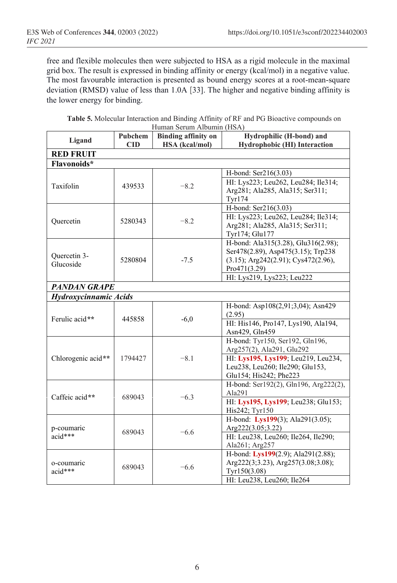free and flexible molecules then were subjected to HSA as a rigid molecule in the maximal grid box. The result is expressed in binding affinity or energy (kcal/mol) in a negative value. The most favourable interaction is presented as bound energy scores at a root-mean-square deviation (RMSD) value of less than 1.0A [33]. The higher and negative binding affinity is the lower energy for binding.

| <b>Table 5.</b> Molecular Interaction and Binding Affinity of RF and PG Bioactive compounds on |  |
|------------------------------------------------------------------------------------------------|--|
| Human Serum Albumin (HSA)                                                                      |  |

| Ligand                              | Pubchem<br><b>Binding affinity on</b> |        | Hydrophilic (H-bond) and              |  |
|-------------------------------------|---------------------------------------|--------|---------------------------------------|--|
| <b>CID</b><br><b>HSA</b> (kcal/mol) |                                       |        | Hydrophobic (HI) Interaction          |  |
| <b>RED FRUIT</b>                    |                                       |        |                                       |  |
| Flavonoids*                         |                                       |        |                                       |  |
|                                     |                                       |        | H-bond: Ser216(3.03)                  |  |
| Taxifolin                           | 439533                                | $-8.2$ | HI: Lys223; Leu262, Leu284; Ile314;   |  |
|                                     |                                       |        | Arg281; Ala285, Ala315; Ser311;       |  |
|                                     |                                       |        | <b>Tyr174</b>                         |  |
|                                     |                                       |        | H-bond: Ser216(3.03)                  |  |
| Quercetin                           | 5280343                               | $-8.2$ | HI: Lys223; Leu262, Leu284; Ile314;   |  |
|                                     |                                       |        | Arg281; Ala285, Ala315; Ser311;       |  |
|                                     |                                       |        | Tyr174; Glu177                        |  |
|                                     |                                       |        | H-bond: Ala315(3.28), Glu316(2.98);   |  |
| Quercetin 3-                        |                                       |        | Ser478(2.89), Asp475(3.15); Trp238    |  |
| Glucoside                           | 5280804                               | $-7.5$ | (3.15); Arg242(2.91); Cys472(2.96),   |  |
|                                     |                                       |        | Pro471(3.29)                          |  |
|                                     |                                       |        | HI: Lys219, Lys223; Leu222            |  |
| <b>PANDAN GRAPE</b>                 |                                       |        |                                       |  |
| Hydroxycinnamic Acids               |                                       |        |                                       |  |
|                                     | 445858                                | $-6,0$ | H-bond: Asp108(2,91;3,04); Asn429     |  |
| Ferulic acid**                      |                                       |        | (2.95)                                |  |
|                                     |                                       |        | HI: His146, Pro147, Lys190, Ala194,   |  |
|                                     |                                       |        | Asn429, Gln459                        |  |
|                                     | 1794427                               | $-8.1$ | H-bond: Tyr150, Ser192, Gln196,       |  |
|                                     |                                       |        | Arg257(2), Ala291, Glu292             |  |
| Chlorogenic acid**                  |                                       |        | HI: Lys195, Lys199; Leu219, Leu234,   |  |
|                                     |                                       |        | Leu238, Leu260; Ile290; Glu153,       |  |
|                                     |                                       |        | Glu154; His242; Phe223                |  |
|                                     |                                       |        | H-bond: Ser192(2), Gln196, Arg222(2), |  |
| Caffeic acid**                      | 689043                                | $-6.3$ | Ala291                                |  |
|                                     |                                       |        | HI: Lys195, Lys199; Leu238; Glu153;   |  |
|                                     |                                       |        | His242; Tyr150                        |  |
|                                     |                                       |        | H-bond: Lys199(3); Ala291(3.05);      |  |
| p-coumaric                          | 689043                                | $-6.6$ | Arg222(3.05;3.22)                     |  |
| $acid***$                           |                                       |        | HI: Leu238, Leu260; Ile264, Ile290;   |  |
|                                     |                                       |        | Ala261; Arg257                        |  |
|                                     | 689043                                | $-6.6$ | H-bond: Lys199(2.9); Ala291(2.88);    |  |
| o-coumaric<br>acid***               |                                       |        | Arg222(3;3.23), Arg257(3.08;3.08);    |  |
|                                     |                                       |        | Tyr150(3.08)                          |  |
|                                     |                                       |        | HI: Leu238, Leu260; Ile264            |  |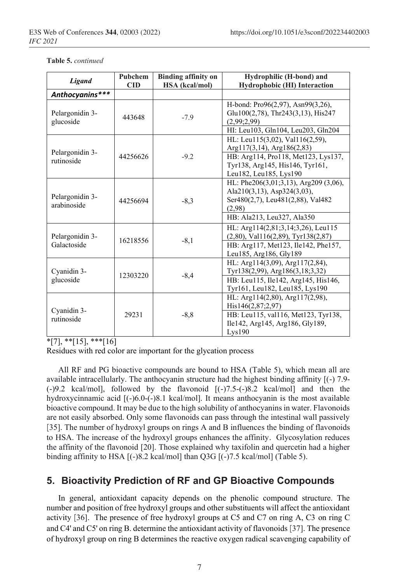| <b>Table 5.</b> continued |
|---------------------------|
|---------------------------|

| <b>Ligand</b>                  | Pubchem    | <b>Binding affinity on</b> | Hydrophilic (H-bond) and                     |
|--------------------------------|------------|----------------------------|----------------------------------------------|
|                                | <b>CID</b> | <b>HSA</b> (kcal/mol)      | <b>Hydrophobic (HI)</b> Interaction          |
| Anthocyanins***                |            |                            |                                              |
|                                |            |                            | H-bond: Pro96(2,97), Asn99(3,26),            |
| Pelargonidin 3-                | 443648     | $-7.9$                     | Glu100(2,78), Thr243(3,13), His247           |
| glucoside                      |            |                            | (2,99;2,99)                                  |
|                                |            |                            | HI: Leu103, Gln104, Leu203, Gln204           |
|                                |            |                            | HL: Leu115(3,02), Val116(2,59),              |
| Pelargonidin 3-                |            |                            | $Arg117(3,14)$ , $Arg186(2,83)$              |
| rutinoside                     | 44256626   | $-9.2$                     | HB: Arg114, Pro118, Met123, Lys137,          |
|                                |            |                            | Tyr138, Arg145, His146, Tyr161,              |
|                                |            |                            | Leu182, Leu185, Lys190                       |
|                                |            |                            | HL: Phe $206(3,01;3,13)$ , Arg $209(3,06)$ , |
|                                |            |                            | Ala210(3,13), Asp324(3,03),                  |
| Pelargonidin 3-<br>arabinoside | 44256694   | $-8,3$                     | Ser480(2,7), Leu481(2,88), Val482            |
|                                |            |                            | (2,98)                                       |
|                                |            |                            | HB: Ala213, Leu327, Ala350                   |
|                                |            |                            | HL: Arg114(2,81;3,14;3,26), Leu115           |
| Pelargonidin 3-                | 16218556   | $-8,1$                     | $(2,80)$ , Val116 $(2,89)$ , Tyr138 $(2,87)$ |
| Galactoside                    |            |                            | HB: Arg117, Met123, Ile142, Phe157,          |
|                                |            |                            | Leu185, Arg186, Gly189                       |
|                                |            |                            | HL: Arg114(3,09), Arg117(2,84),              |
| Cyanidin 3-                    | 12303220   | $-8,4$                     | Tyr138(2,99), Arg186(3,18;3,32)              |
| glucoside                      |            |                            | HB: Leu115, Ile142, Arg145, His146,          |
|                                |            |                            | Tyr161, Leu182, Leu185, Lys190               |
| Cyanidin 3-<br>rutinoside      | 29231      | $-8, 8$                    | HL: Arg $114(2,80)$ , Arg $117(2,98)$ ,      |
|                                |            |                            | His146(2,87;2,97)                            |
|                                |            |                            | HB: Leu115, val116, Met123, Tyr138,          |
|                                |            |                            | Ile142, Arg145, Arg186, Gly189,              |
|                                |            |                            | Lys190                                       |

 $*$ [7],  $**$ [15],  $**$ [16]

Residues with red color are important for the glycation process

All RF and PG bioactive compounds are bound to HSA (Table 5), which mean all are available intracellularly. The anthocyanin structure had the highest binding affinity [(-) 7.9- (-)9.2 kcal/mol], followed by the flavonoid [(-)7.5-(-)8.2 kcal/mol] and then the hydroxycinnamic acid [(-)6.0-(-)8.1 kcal/mol]. It means anthocyanin is the most available bioactive compound. It may be due to the high solubility of anthocyanins in water. Flavonoids are not easily absorbed. Only some flavonoids can pass through the intestinal wall passively [35]. The number of hydroxyl groups on rings A and B influences the binding of flavonoids to HSA. The increase of the hydroxyl groups enhances the affinity. Glycosylation reduces the affinity of the flavonoid [20]. Those explained why taxifolin and quercetin had a higher binding affinity to HSA [(-)8.2 kcal/mol] than Q3G [(-)7.5 kcal/mol] (Table 5).

#### **5. Bioactivity Prediction of RF and GP Bioactive Compounds**

In general, antioxidant capacity depends on the phenolic compound structure. The number and position of free hydroxyl groups and other substituents will affect the antioxidant activity [36]. The presence of free hydroxyl groups at C5 and C7 on ring A, C3 on ring C and C4' and C5' on ring B. determine the antioxidant activity of flavonoids [37]. The presence of hydroxyl group on ring B determines the reactive oxygen radical scavenging capability of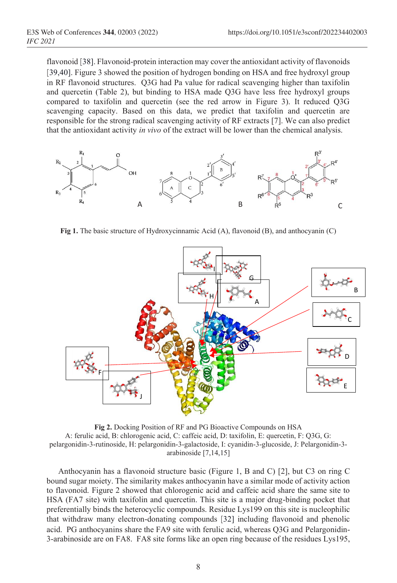flavonoid [38]. Flavonoid-protein interaction may cover the antioxidant activity of flavonoids [39,40]. Figure 3 showed the position of hydrogen bonding on HSA and free hydroxyl group in RF flavonoid structures. Q3G had Pa value for radical scavenging higher than taxifolin and quercetin (Table 2), but binding to HSA made Q3G have less free hydroxyl groups compared to taxifolin and quercetin (see the red arrow in Figure 3). It reduced Q3G scavenging capacity. Based on this data, we predict that taxifolin and quercetin are responsible for the strong radical scavenging activity of RF extracts [7]. We can also predict that the antioxidant activity *in vivo* of the extract will be lower than the chemical analysis.



**Fig 1.** The basic structure of Hydroxycinnamic Acid (A), flavonoid (B), and anthocyanin (C)



**Fig 2.** Docking Position of RF and PG Bioactive Compounds on HSA A: ferulic acid, B: chlorogenic acid, C: caffeic acid, D: taxifolin, E: quercetin, F: Q3G, G: pelargonidin-3-rutinoside, H: pelargonidin-3-galactoside, I: cyanidin-3-glucoside, J: Pelargonidin-3 arabinoside [7,14,15]

Anthocyanin has a flavonoid structure basic (Figure 1, B and C) [2], but C3 on ring C bound sugar moiety. The similarity makes anthocyanin have a similar mode of activity action to flavonoid. Figure 2 showed that chlorogenic acid and caffeic acid share the same site to HSA (FA7 site) with taxifolin and quercetin. This site is a major drug-binding pocket that preferentially binds the heterocyclic compounds. Residue Lys199 on this site is nucleophilic that withdraw many electron-donating compounds [32] including flavonoid and phenolic acid. PG anthocyanins share the FA9 site with ferulic acid, whereas Q3G and Pelargonidin-3-arabinoside are on FA8. FA8 site forms like an open ring because of the residues Lys195,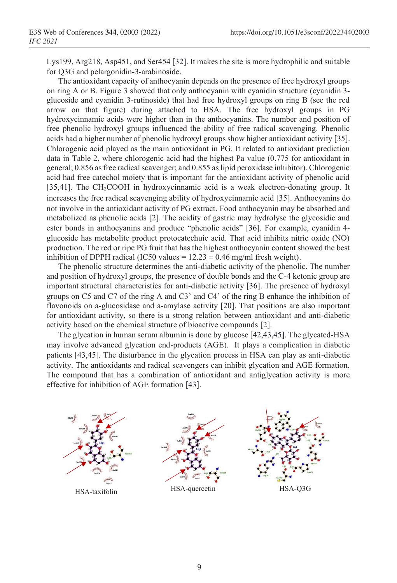Lys199, Arg218, Asp451, and Ser454 [32]. It makes the site is more hydrophilic and suitable for Q3G and pelargonidin-3-arabinoside.

The antioxidant capacity of anthocyanin depends on the presence of free hydroxyl groups on ring A or B. Figure 3 showed that only anthocyanin with cyanidin structure (cyanidin 3 glucoside and cyanidin 3-rutinoside) that had free hydroxyl groups on ring B (see the red arrow on that figure) during attached to HSA. The free hydroxyl groups in PG hydroxycinnamic acids were higher than in the anthocyanins. The number and position of free phenolic hydroxyl groups influenced the ability of free radical scavenging. Phenolic acids had a higher number of phenolic hydroxyl groups show higher antioxidant activity [35]. Chlorogenic acid played as the main antioxidant in PG. It related to antioxidant prediction data in Table 2, where chlorogenic acid had the highest Pa value (0.775 for antioxidant in general; 0.856 as free radical scavenger; and 0.855 as lipid peroxidase inhibitor). Chlorogenic acid had free catechol moiety that is important for the antioxidant activity of phenolic acid [35,41]. The CH<sub>2</sub>COOH in hydroxycinnamic acid is a weak electron-donating group. It increases the free radical scavenging ability of hydroxycinnamic acid [35]. Anthocyanins do not involve in the antioxidant activity of PG extract. Food anthocyanin may be absorbed and metabolized as phenolic acids [2]. The acidity of gastric may hydrolyse the glycosidic and ester bonds in anthocyanins and produce "phenolic acids" [36]. For example, cyanidin 4 glucoside has metabolite product protocatechuic acid. That acid inhibits nitric oxide (NO) production. The red or ripe PG fruit that has the highest anthocyanin content showed the best inhibition of DPPH radical (IC50 values =  $12.23 \pm 0.46$  mg/ml fresh weight).

The phenolic structure determines the anti-diabetic activity of the phenolic. The number and position of hydroxyl groups, the presence of double bonds and the C-4 ketonic group are important structural characteristics for anti-diabetic activity [36]. The presence of hydroxyl groups on C5 and C7 of the ring A and C3' and C4' of the ring B enhance the inhibition of flavonoids on a-glucosidase and a-amylase activity [20]. That positions are also important for antioxidant activity, so there is a strong relation between antioxidant and anti-diabetic activity based on the chemical structure of bioactive compounds [2].

The glycation in human serum albumin is done by glucose [42,43,45]. The glycated-HSA may involve advanced glycation end-products (AGE). It plays a complication in diabetic patients [43,45]. The disturbance in the glycation process in HSA can play as anti-diabetic activity. The antioxidants and radical scavengers can inhibit glycation and AGE formation. The compound that has a combination of antioxidant and antiglycation activity is more effective for inhibition of AGE formation [43].

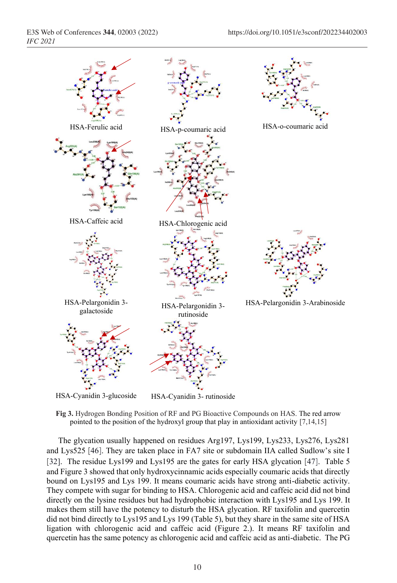

**Fig 3.** Hydrogen Bonding Position of RF and PG Bioactive Compounds on HAS. The red arrow pointed to the position of the hydroxyl group that play in antioxidant activity [7,14,15]

The glycation usually happened on residues Arg197, Lys199, Lys233, Lys276, Lys281 and Lys525 [46]. They are taken place in FA7 site or subdomain IIA called Sudlow's site I [32]. The residue Lys199 and Lys195 are the gates for early HSA glycation [47]. Table 5 and Figure 3 showed that only hydroxycinnamic acids especially coumaric acids that directly bound on Lys195 and Lys 199. It means coumaric acids have strong anti-diabetic activity. They compete with sugar for binding to HSA. Chlorogenic acid and caffeic acid did not bind directly on the lysine residues but had hydrophobic interaction with Lys195 and Lys 199. It makes them still have the potency to disturb the HSA glycation. RF taxifolin and quercetin did not bind directly to Lys195 and Lys 199 (Table 5), but they share in the same site of HSA ligation with chlorogenic acid and caffeic acid (Figure 2.). It means RF taxifolin and quercetin has the same potency as chlorogenic acid and caffeic acid as anti-diabetic. The PG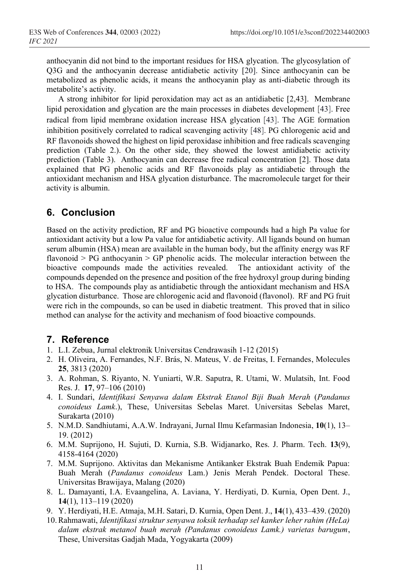anthocyanin did not bind to the important residues for HSA glycation. The glycosylation of Q3G and the anthocyanin decrease antidiabetic activity [20]. Since anthocyanin can be metabolized as phenolic acids, it means the anthocyanin play as anti-diabetic through its metabolite's activity.

A strong inhibitor for lipid peroxidation may act as an antidiabetic [2,43]. Membrane lipid peroxidation and glycation are the main processes in diabetes development [43]. Free radical from lipid membrane oxidation increase HSA glycation [43]. The AGE formation inhibition positively correlated to radical scavenging activity [48]. PG chlorogenic acid and RF flavonoids showed the highest on lipid peroxidase inhibition and free radicals scavenging prediction (Table 2.). On the other side, they showed the lowest antidiabetic activity prediction (Table 3). Anthocyanin can decrease free radical concentration [2]. Those data explained that PG phenolic acids and RF flavonoids play as antidiabetic through the antioxidant mechanism and HSA glycation disturbance. The macromolecule target for their activity is albumin.

#### **6. Conclusion**

Based on the activity prediction, RF and PG bioactive compounds had a high Pa value for antioxidant activity but a low Pa value for antidiabetic activity. All ligands bound on human serum albumin (HSA) mean are available in the human body, but the affinity energy was RF flavonoid > PG anthocyanin > GP phenolic acids. The molecular interaction between the bioactive compounds made the activities revealed. The antioxidant activity of the compounds depended on the presence and position of the free hydroxyl group during binding to HSA. The compounds play as antidiabetic through the antioxidant mechanism and HSA glycation disturbance. Those are chlorogenic acid and flavonoid (flavonol). RF and PG fruit were rich in the compounds, so can be used in diabetic treatment. This proved that in silico method can analyse for the activity and mechanism of food bioactive compounds.

#### **7. Reference**

- 1. L.I. Zebua, Jurnal elektronik Universitas Cendrawasih 1-12 (2015)
- 2. H. Oliveira, A. Fernandes, N.F. Brás, N. Mateus, V. de Freitas, I. Fernandes, Molecules **25**, 3813 (2020)
- 3. A. Rohman, S. Riyanto, N. Yuniarti, W.R. Saputra, R. Utami, W. Mulatsih, Int. Food Res. J. **17**, 97–106 (2010)
- 4. I. Sundari, *Identifikasi Senyawa dalam Ekstrak Etanol Biji Buah Merah* (*Pandanus conoideus Lamk*.), These, Universitas Sebelas Maret. Universitas Sebelas Maret, Surakarta (2010)
- 5. N.M.D. Sandhiutami, A.A.W. Indrayani, Jurnal Ilmu Kefarmasian Indonesia, **10**(1), 13– 19. (2012)
- 6. M.M. Suprijono, H. Sujuti, D. Kurnia, S.B. Widjanarko, Res. J. Pharm. Tech. **13**(9), 4158-4164 (2020)
- 7. M.M. Suprijono. Aktivitas dan Mekanisme Antikanker Ekstrak Buah Endemik Papua: Buah Merah (*Pandanus conoideus* Lam.) Jenis Merah Pendek. Doctoral These. Universitas Brawijaya, Malang (2020)
- 8. L. Damayanti, I.A. Evaangelina, A. Laviana, Y. Herdiyati, D. Kurnia, Open Dent. J., **14**(1), 113–119 (2020)
- 9. Y. Herdiyati, H.E. Atmaja, M.H. Satari, D. Kurnia, Open Dent. J., **14**(1), 433–439. (2020)
- 10.Rahmawati, *Identifikasi struktur senyawa toksik terhadap sel kanker leher rahim (HeLa) dalam ekstrak metanol buah merah (Pandanus conoideus Lamk.) varietas barugum*, These, Universitas Gadjah Mada, Yogyakarta (2009)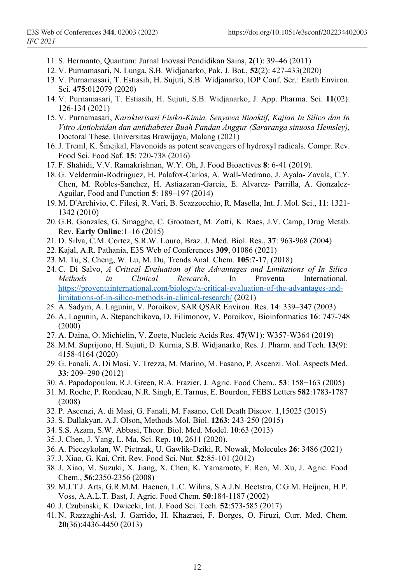- 11. S. Hermanto, Quantum: Jurnal Inovasi Pendidikan Sains, **2**(1): 39–46 (2011)
- 12. V. Purnamasari, N. Lunga, S.B. Widjanarko, Pak. J. Bot., **52**(2): 427-433(2020)
- 13. V. Purnamasari, T. Estiasih, H. Sujuti, S.B. Widjanarko, IOP Conf. Ser.: Earth Environ. Sci*.* **475**:012079 (2020)
- 14. V. Purnamasari, T. Estiasih, H. Sujuti, S.B. Widjanarko, J. App. Pharma. Sci. **11**(02): 126-134 (2021)
- 15. V. Purnamasari, *Karakterisasi Fisiko-Kimia, Senyawa Bioaktif, Kajian In Silico dan In Vitro Antioksidan dan antidiabetes Buah Pandan Anggur (Sararanga sinuosa Hemsley),*  Doctoral These. Universitas Brawijaya, Malang (2021)
- 16.J. Treml, K. Šmejkal, Flavonoids as potent scavengers of hydroxyl radicals. Compr. Rev. Food Sci. Food Saf. **15**: 720-738 (2016)
- 17. F. Shahidi, V.V. Ramakrishnan, W.Y. Oh, J. Food Bioactives **8**: 6-41 (2019).
- 18. G. Velderrain-Rodriıguez, H. Palafox-Carlos, A. Wall-Medrano, J. Ayala- Zavala, C.Y. Chen, M. Robles-Sanchez, H. Astiazaran-Garcia, E. Alvarez- Parrilla, A. Gonzalez-Aguilar, Food and Function **5**: 189–197 (2014)
- 19. M. D'Archivio, C. Filesi, R. Varì, B. Scazzocchio, R. Masella, Int. J. Mol. Sci., **11**: 1321- 1342 (2010)
- 20. G.B. Gonzales, G. Smagghe, C. Grootaert, M. Zotti, K. Raes, J.V. Camp, Drug Metab. Rev. **Early Online**:1–16 (2015)
- 21. D. Silva, C.M. Cortez, S.R.W. Louro, Braz. J. Med. Biol. Res., **37**: 963-968 (2004)
- 22. Kajal, A.R. Pathania, E3S Web of Conferences **309**, 01086 (2021)
- 23. M. Tu, S. Cheng, W. Lu, M. Du, Trends Anal. Chem. **105**:7-17, (2018)
- 24.C. Di Salvo, *A Critical Evaluation of the Advantages and Limitations of In Silico Methods in Clinical Research*, In Proventa International. https://proventainternational.com/biology/a-critical-evaluation-of-the-advantages-andlimitations-of-in-silico-methods-in-clinical-research/ (2021)
- 25. A. Sadym, A. Lagunin, V. Poroikov, SAR QSAR Environ. Res. **14**: 339–347 (2003)
- 26. A. Lagunin, A. Stepanchikova, D. Filimonov, V. Poroikov, Bioinformatics **16**: 747-748 (2000)
- 27. A. Daina, O. Michielin, V. Zoete, Nucleic Acids Res. **47**(W1): W357-W364 (2019)
- 28. M.M. Suprijono, H. Sujuti, D. Kurnia, S.B. Widjanarko, Res. J. Pharm. and Tech. **13**(9): 4158-4164 (2020)
- 29. G. Fanali, A. Di Masi, V. Trezza, M. Marino, M. Fasano, P. Ascenzi. Mol. Aspects Med. **33**: 209–290 (2012)
- 30. A. Papadopoulou, R.J. Green, R.A. Frazier, J. Agric. Food Chem., **53**: 158−163 (2005)
- 31. M. Roche, P. Rondeau, N.R. Singh, E. Tarnus, E. Bourdon, FEBS Letters **582**:1783-1787 (2008)
- 32. P. Ascenzi, A. di Masi, G. Fanali, M. Fasano, Cell Death Discov. **1**,15025 (2015)
- 33. S. Dallakyan, A.J. Olson, Methods Mol. Biol. **1263**: 243-250 (2015)
- 34. S.S. Azam, S.W. Abbasi, Theor. Biol. Med. Model. **10**:63 (2013)
- 35.J. Chen, J. Yang, L. Ma, Sci. Rep. **10,** 2611 (2020).
- 36. A. Pieczykolan, W. Pietrzak, U. Gawlik-Dziki, R. Nowak, Molecules **26**: 3486 (2021)
- 37.J. Xiao, G. Kai, Crit. Rev. Food Sci. Nut. **52**:85-101 (2012)
- 38.J. Xiao, M. Suzuki, X. Jiang, X. Chen, K. Yamamoto, F. Ren, M. Xu, J. Agric. Food Chem., **56**:2350-2356 (2008)
- 39. M.J.T.J. Arts, G.R.M.M. Haenen, L.C. Wilms, S.A.J.N. Beetstra, C.G.M. Heijnen, H.P. Voss, A.A.L.T. Bast, J. Agric. Food Chem. **50**:184-1187 (2002)
- 40.J. Czubinski, K. Dwiecki, Int. J. Food Sci. Tech. **52**:573-585 (2017)
- 41. N. Razzaghi-Asl, J. Garrido, H. Khazraei, F. Borges, O. Firuzi, Curr. Med. Chem. **20**(36):4436-4450 (2013)